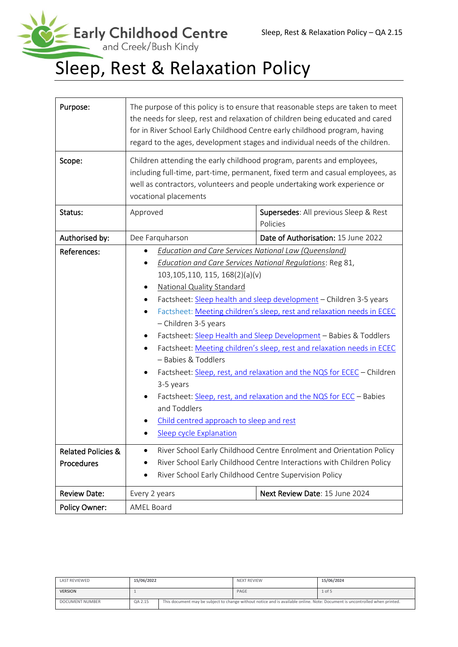

# Sleep, Rest & Relaxation Policy

| Purpose:                                    | The purpose of this policy is to ensure that reasonable steps are taken to meet<br>the needs for sleep, rest and relaxation of children being educated and cared<br>for in River School Early Childhood Centre early childhood program, having<br>regard to the ages, development stages and individual needs of the children.                                                                                                                                                                                                                                                                                                                                                                                                                                                                                            |                                                   |  |
|---------------------------------------------|---------------------------------------------------------------------------------------------------------------------------------------------------------------------------------------------------------------------------------------------------------------------------------------------------------------------------------------------------------------------------------------------------------------------------------------------------------------------------------------------------------------------------------------------------------------------------------------------------------------------------------------------------------------------------------------------------------------------------------------------------------------------------------------------------------------------------|---------------------------------------------------|--|
| Scope:                                      | Children attending the early childhood program, parents and employees,<br>including full-time, part-time, permanent, fixed term and casual employees, as<br>well as contractors, volunteers and people undertaking work experience or<br>vocational placements                                                                                                                                                                                                                                                                                                                                                                                                                                                                                                                                                            |                                                   |  |
| Status:                                     | Approved                                                                                                                                                                                                                                                                                                                                                                                                                                                                                                                                                                                                                                                                                                                                                                                                                  | Supersedes: All previous Sleep & Rest<br>Policies |  |
| Authorised by:                              | Dee Farquharson                                                                                                                                                                                                                                                                                                                                                                                                                                                                                                                                                                                                                                                                                                                                                                                                           | Date of Authorisation: 15 June 2022               |  |
| References:                                 | <b>Education and Care Services National Law (Queensland)</b><br><b>Education and Care Services National Regulations: Reg 81,</b><br>103,105,110, 115, 168(2)(a)(v)<br>National Quality Standard<br>Factsheet: Sleep health and sleep development - Children 3-5 years<br>٠<br>Factsheet: Meeting children's sleep, rest and relaxation needs in ECEC<br>- Children 3-5 years<br>Factsheet: Sleep Health and Sleep Development - Babies & Toddlers<br>٠<br>Factsheet: Meeting children's sleep, rest and relaxation needs in ECEC<br>$\bullet$<br>- Babies & Toddlers<br>Factsheet: Sleep, rest, and relaxation and the NQS for ECEC - Children<br>3-5 years<br>Factsheet: Sleep, rest, and relaxation and the NQS for ECC - Babies<br>and Toddlers<br>Child centred approach to sleep and rest<br>Sleep cycle Explanation |                                                   |  |
| <b>Related Policies &amp;</b><br>Procedures | River School Early Childhood Centre Enrolment and Orientation Policy<br>٠<br>River School Early Childhood Centre Interactions with Children Policy<br>River School Early Childhood Centre Supervision Policy                                                                                                                                                                                                                                                                                                                                                                                                                                                                                                                                                                                                              |                                                   |  |
| <b>Review Date:</b>                         | Every 2 years                                                                                                                                                                                                                                                                                                                                                                                                                                                                                                                                                                                                                                                                                                                                                                                                             | Next Review Date: 15 June 2024                    |  |
| Policy Owner:                               | <b>AMEL Board</b>                                                                                                                                                                                                                                                                                                                                                                                                                                                                                                                                                                                                                                                                                                                                                                                                         |                                                   |  |
|                                             |                                                                                                                                                                                                                                                                                                                                                                                                                                                                                                                                                                                                                                                                                                                                                                                                                           |                                                   |  |

| <b>LAST REVIEWED</b>   | 15/06/2022 |                                                                                                                             | <b>NEXT REVIEW</b> | 15/06/2024 |
|------------------------|------------|-----------------------------------------------------------------------------------------------------------------------------|--------------------|------------|
| <b>VERSION</b>         |            |                                                                                                                             | PAGE               | $1$ of $5$ |
| <b>DOCUMENT NUMBER</b> | QA 2.15    | This document may be subject to change without notice and is available online. Note: Document is uncontrolled when printed. |                    |            |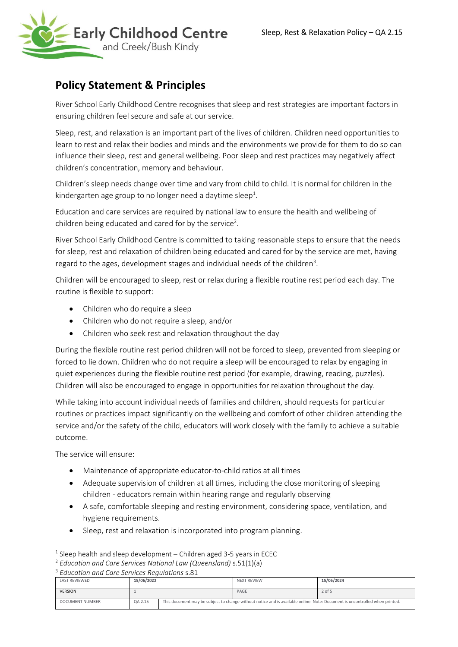

## **Policy Statement & Principles**

River School Early Childhood Centre recognises that sleep and rest strategies are important factors in ensuring children feel secure and safe at our service.

Sleep, rest, and relaxation is an important part of the lives of children. Children need opportunities to learn to rest and relax their bodies and minds and the environments we provide for them to do so can influence their sleep, rest and general wellbeing. Poor sleep and rest practices may negatively affect children's concentration, memory and behaviour.

Children's sleep needs change over time and vary from child to child. It is normal for children in the kindergarten age group to no longer need a daytime sleep<sup>1</sup>.

Education and care services are required by national law to ensure the health and wellbeing of children being educated and cared for by the service<sup>2</sup>.

River School Early Childhood Centre is committed to taking reasonable steps to ensure that the needs for sleep, rest and relaxation of children being educated and cared for by the service are met, having regard to the ages, development stages and individual needs of the children<sup>3</sup>.

Children will be encouraged to sleep, rest or relax during a flexible routine rest period each day. The routine is flexible to support:

- Children who do require a sleep
- Children who do not require a sleep, and/or
- Children who seek rest and relaxation throughout the day

During the flexible routine rest period children will not be forced to sleep, prevented from sleeping or forced to lie down. Children who do not require a sleep will be encouraged to relax by engaging in quiet experiences during the flexible routine rest period (for example, drawing, reading, puzzles). Children will also be encouraged to engage in opportunities for relaxation throughout the day.

While taking into account individual needs of families and children, should requests for particular routines or practices impact significantly on the wellbeing and comfort of other children attending the service and/or the safety of the child, educators will work closely with the family to achieve a suitable outcome.

The service will ensure:

- Maintenance of appropriate educator-to-child ratios at all times
- Adequate supervision of children at all times, including the close monitoring of sleeping children - educators remain within hearing range and regularly observing
- A safe, comfortable sleeping and resting environment, considering space, ventilation, and hygiene requirements.
- Sleep, rest and relaxation is incorporated into program planning.

<sup>3</sup> *Education and Care Services Regulations* s.81

| LAST REVIEWED          | 15/06/2022 |                                                                                                                             | <b>NEXT REVIEW</b> | 15/06/2024 |
|------------------------|------------|-----------------------------------------------------------------------------------------------------------------------------|--------------------|------------|
| <b>VERSION</b>         |            |                                                                                                                             | PAGE               | 2 of 5     |
| <b>DOCUMENT NUMBER</b> | QA 2.15    | This document may be subject to change without notice and is available online. Note: Document is uncontrolled when printed. |                    |            |

 $<sup>1</sup>$  Sleep health and sleep development – Children aged 3-5 years in ECEC</sup>

<sup>2</sup> *Education and Care Services National Law (Queensland)* s.51(1)(a)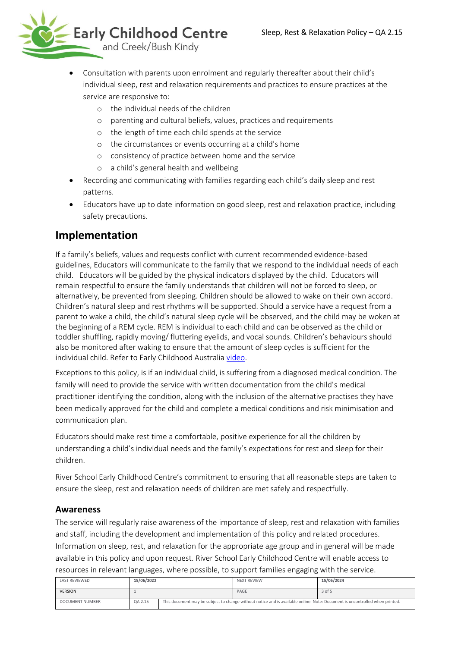

- Consultation with parents upon enrolment and regularly thereafter about their child's individual sleep, rest and relaxation requirements and practices to ensure practices at the service are responsive to:
	- o the individual needs of the children
	- o parenting and cultural beliefs, values, practices and requirements
	- o the length of time each child spends at the service
	- o the circumstances or events occurring at a child's home
	- o consistency of practice between home and the service
	- o a child's general health and wellbeing
- Recording and communicating with families regarding each child's daily sleep and rest patterns.
- Educators have up to date information on good sleep, rest and relaxation practice, including safety precautions.

### **Implementation**

If a family's beliefs, values and requests conflict with current recommended evidence-based guidelines, Educators will communicate to the family that we respond to the individual needs of each child. Educators will be guided by the physical indicators displayed by the child. Educators will remain respectful to ensure the family understands that children will not be forced to sleep, or alternatively, be prevented from sleeping. Children should be allowed to wake on their own accord. Children's natural sleep and rest rhythms will be supported. Should a service have a request from a parent to wake a child, the child's natural sleep cycle will be observed, and the child may be woken at the beginning of a REM cycle. REM is individual to each child and can be observed as the child or toddler shuffling, rapidly moving/ fluttering eyelids, and vocal sounds. Children's behaviours should also be monitored after waking to ensure that the amount of sleep cycles is sufficient for the individual child. Refer to Early Childhood Australia [video.](https://learninghub.earlychildhoodaustralia.org.au/video-dr-harriett-hiscock/)

Exceptions to this policy, is if an individual child, is suffering from a diagnosed medical condition. The family will need to provide the service with written documentation from the child's medical practitioner identifying the condition, along with the inclusion of the alternative practises they have been medically approved for the child and complete a medical conditions and risk minimisation and communication plan.

Educators should make rest time a comfortable, positive experience for all the children by understanding a child's individual needs and the family's expectations for rest and sleep for their children.

River School Early Childhood Centre's commitment to ensuring that all reasonable steps are taken to ensure the sleep, rest and relaxation needs of children are met safely and respectfully.

#### **Awareness**

The service will regularly raise awareness of the importance of sleep, rest and relaxation with families and staff, including the development and implementation of this policy and related procedures. Information on sleep, rest, and relaxation for the appropriate age group and in general will be made available in this policy and upon request. River School Early Childhood Centre will enable access to resources in relevant languages, where possible, to support families engaging with the service.

| LAST REVIEWED          | 15/06/2022 |                                                                                                                             | <b>NEXT REVIEW</b> | 15/06/2024 |
|------------------------|------------|-----------------------------------------------------------------------------------------------------------------------------|--------------------|------------|
| <b>VERSION</b>         |            |                                                                                                                             | PAGE               | 3 of 5     |
| <b>DOCUMENT NUMBER</b> | QA 2.15    | This document may be subject to change without notice and is available online. Note: Document is uncontrolled when printed. |                    |            |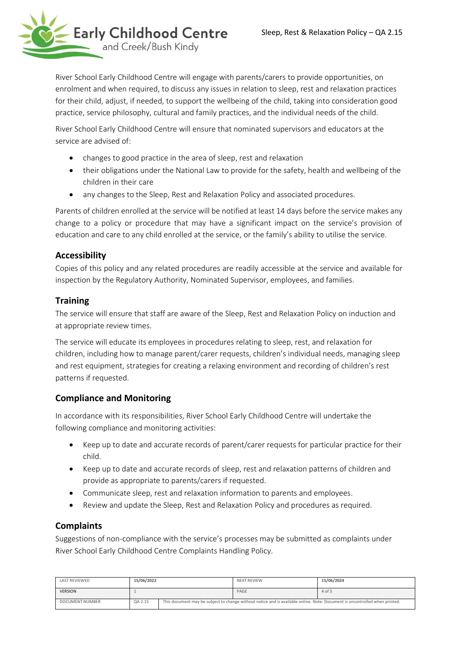

River School Early Childhood Centre will engage with parents/carers to provide opportunities, on enrolment and when required, to discuss any issues in relation to sleep, rest and relaxation practices for their child, adjust, if needed, to support the wellbeing of the child, taking into consideration good practice, service philosophy, cultural and family practices, and the individual needs of the child.

River School Early Childhood Centre will ensure that nominated supervisors and educators at the service are advised of:

- changes to good practice in the area of sleep, rest and relaxation
- their obligations under the National Law to provide for the safety, health and wellbeing of the children in their care
- any changes to the Sleep, Rest and Relaxation Policy and associated procedures.

Parents of children enrolled at the service will be notified at least 14 days before the service makes any change to a policy or procedure that may have a significant impact on the service's provision of education and care to any child enrolled at the service, or the family's ability to utilise the service.

#### **Accessibility**

Copies of this policy and any related procedures are readily accessible at the service and available for inspection by the Regulatory Authority, Nominated Supervisor, employees, and families.

#### **Training**

The service will ensure that staff are aware of the Sleep, Rest and Relaxation Policy on induction and at appropriate review times.

The service will educate its employees in procedures relating to sleep, rest, and relaxation for children, including how to manage parent/carer requests, children's individual needs, managing sleep and rest equipment, strategies for creating a relaxing environment and recording of children's rest patterns if requested.

#### **Compliance and Monitoring**

In accordance with its responsibilities, River School Early Childhood Centre will undertake the following compliance and monitoring activities:

- Keep up to date and accurate records of parent/carer requests for particular practice for their child.
- Keep up to date and accurate records of sleep, rest and relaxation patterns of children and provide as appropriate to parents/carers if requested.
- Communicate sleep, rest and relaxation information to parents and employees.
- Review and update the Sleep, Rest and Relaxation Policy and procedures as required.

#### **Complaints**

Suggestions of non-compliance with the service's processes may be submitted as complaints under River School Early Childhood Centre Complaints Handling Policy.

| LAST REVIEWED   | 15/06/2022 |                                                                                                                             | <b>NEXT REVIEW</b> | 15/06/2024 |
|-----------------|------------|-----------------------------------------------------------------------------------------------------------------------------|--------------------|------------|
| <b>VERSION</b>  |            |                                                                                                                             | PAGE               | 4 of 5     |
| DOCUMENT NUMBER | QA 2.15    | This document may be subject to change without notice and is available online. Note: Document is uncontrolled when printed. |                    |            |